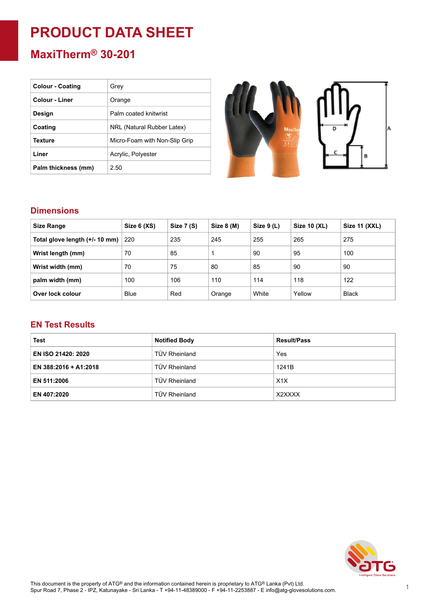# **PRODUCT DATA SHEET**

## **MaxiTherm® 30-201**

| <b>Colour - Coating</b> | Grev                          |
|-------------------------|-------------------------------|
| <b>Colour - Liner</b>   | Orange                        |
| Design                  | Palm coated knitwrist         |
| Coating                 | NRL (Natural Rubber Latex)    |
| Texture                 | Micro-Foam with Non-Slip Grip |
| Liner                   | Acrylic, Polyester            |
| Palm thickness (mm)     | 2.50                          |



#### **Dimensions**

| <b>Size Range</b>              | Size 6 (XS) | Size 7 (S) | Size 8 (M) | Size $9(L)$ | Size 10 (XL) | <b>Size 11 (XXL)</b> |
|--------------------------------|-------------|------------|------------|-------------|--------------|----------------------|
| Total glove length (+/- 10 mm) | 220         | 235        | 245        | 255         | 265          | 275                  |
| Wrist length (mm)              | 70          | 85         |            | 90          | 95           | 100                  |
| Wrist width (mm)               | 70          | 75         | 80         | 85          | 90           | 90                   |
| palm width (mm)                | 100         | 106        | 110        | 114         | 118          | 122                  |
| Over lock colour               | <b>Blue</b> | Red        | Orange     | White       | Yellow       | <b>Black</b>         |

#### **EN Test Results**

| <b>Test</b>               | <b>Notified Body</b> | <b>Result/Pass</b> |  |
|---------------------------|----------------------|--------------------|--|
| <b>EN ISO 21420: 2020</b> | TÜV Rheinland        | Yes                |  |
| EN 388:2016 + A1:2018     | TÜV Rheinland        | 1241B              |  |
| EN 511:2006               | <b>TÜV Rheinland</b> | X1X                |  |
| EN 407:2020               | TÜV Rheinland        | X2XXXX             |  |

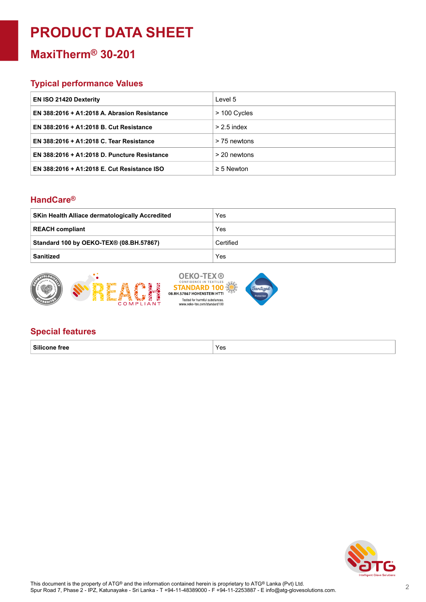## **PRODUCT DATA SHEET**

## **MaxiTherm® 30-201**

#### **Typical performance Values**

| <b>EN ISO 21420 Dexterity</b>                | Level 5         |
|----------------------------------------------|-----------------|
| EN 388:2016 + A1:2018 A. Abrasion Resistance | > 100 Cycles    |
| EN 388:2016 + A1:2018 B. Cut Resistance      | $> 2.5$ index   |
| EN 388:2016 + A1:2018 C. Tear Resistance     | > 75 newtons    |
| EN 388:2016 + A1:2018 D. Puncture Resistance | > 20 newtons    |
| EN 388:2016 + A1:2018 E. Cut Resistance ISO  | $\geq$ 5 Newton |

#### **HandCare ®**

| <b>SKin Health Alliace dermatologically Accredited</b> | Yes       |
|--------------------------------------------------------|-----------|
| <b>REACH compliant</b>                                 | Yes       |
| Standard 100 by OEKO-TEX® (08.BH.57867)                | Certified |
| <b>Sanitized</b>                                       | Yes       |





#### **Special features**

**Silicone free** Yes